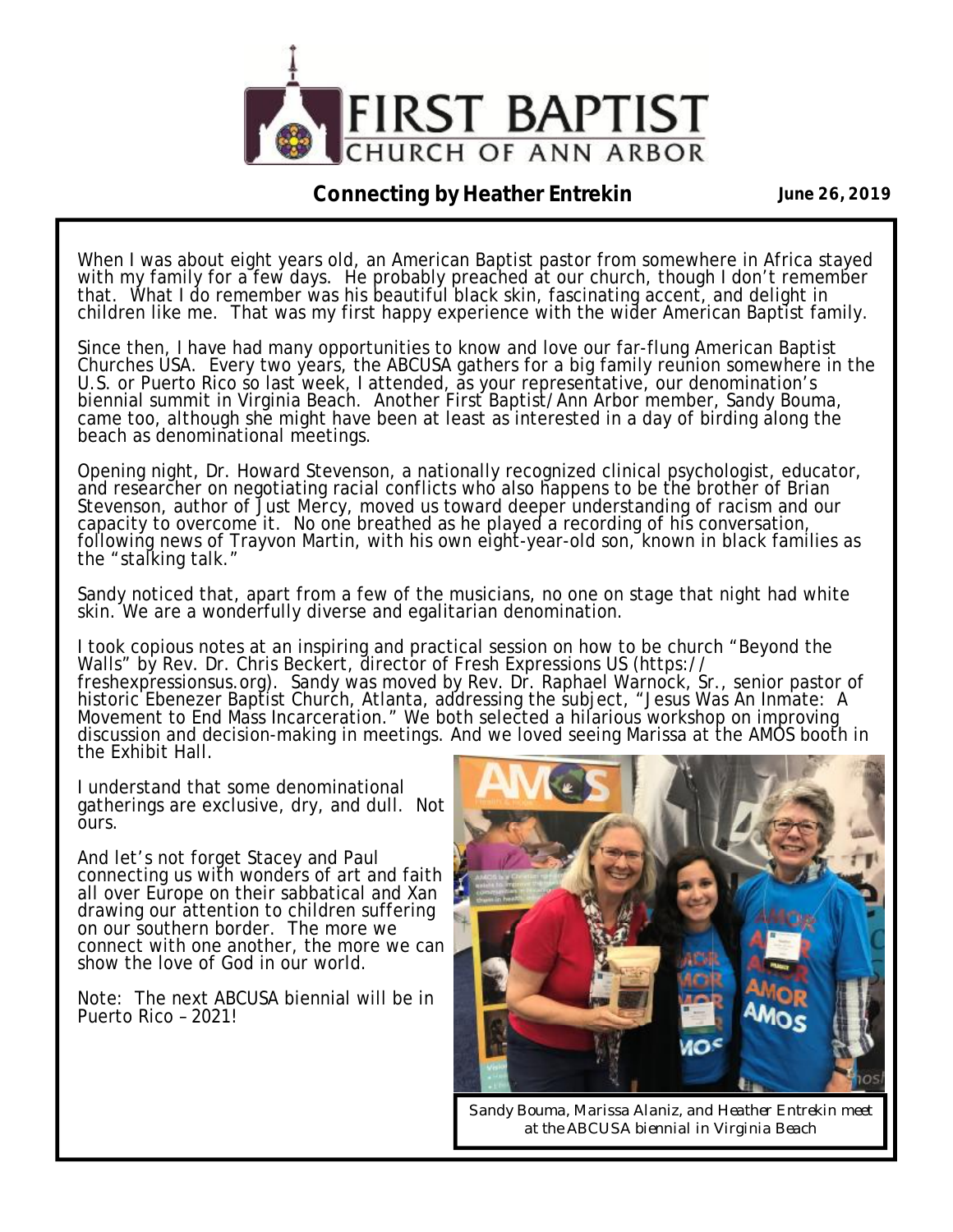

## **Connecting by Heather Entrekin** June 26, 2019

When I was about eight years old, an American Baptist pastor from somewhere in Africa stayed with my family for a few days. He probably preached at our church, though I don't remember that. What I do remember was his beautiful black skin, fascinating accent, and delight in children like me. That was my first happy experience with the wider American Baptist family.

Since then, I have had many opportunities to know and love our far-flung American Baptist Churches USA. Every two years, the ABCUSA gathers for a big family reunion somewhere in the U.S. or Puerto Rico so last week, I attended, as your representative, our denomination's biennial summit in Virginia Beach. Another First Baptist/Ann Arbor member, Sandy Bouma, came too, although she might have been at least as interested in a day of birding along the beach as denominational meetings.

Opening night, Dr. Howard Stevenson, a nationally recognized clinical psychologist, educator, and researcher on negotiating racial conflicts who also happens to be the brother of Brian Stevenson, author of *Just Mercy,* moved us toward deeper understanding of racism and our capacity to overcome it. No one breathed as he played a recording of his conversation, following news of Trayvon Martin, with his own eight-year-old son, known in black families as the "stalking talk."

Sandy noticed that, apart from a few of the musicians, no one on stage that night had white skin. We are a wonderfully diverse and egalitarian denomination.

I took copious notes at an inspiring and practical session on how to be church "Beyond the Walls" by Rev. Dr. Chris Beckert, director of Fresh Expressions US (https:// freshexpressionsus.org). Sandy was moved by Rev. Dr. Raphael Warnock, Sr., senior pastor of historic Ebenezer Baptist Church, Atlanta, addressing the subject, "Jesus Was An Inmate: A Movement to End Mass Incarceration." We both selected a hilarious workshop on improving discussion and decision-making in meetings. And we loved seeing Marissa at the AMOS booth in the Exhibit Hall.

I understand that some denominational gatherings are exclusive, dry, and dull. Not ours.

And let's not forget Stacey and Paul connecting us with wonders of art and faith all over Europe on their sabbatical and Xan drawing our attention to children suffering on our southern border. The more we connect with one another, the more we can show the love of God in our world.

Note: The next ABCUSA biennial will be in Puerto Rico – 2021!



*Sandy Bouma, Marissa Alaniz, and Heather Entrekin meet at the ABCUSA biennial in Virginia Beach*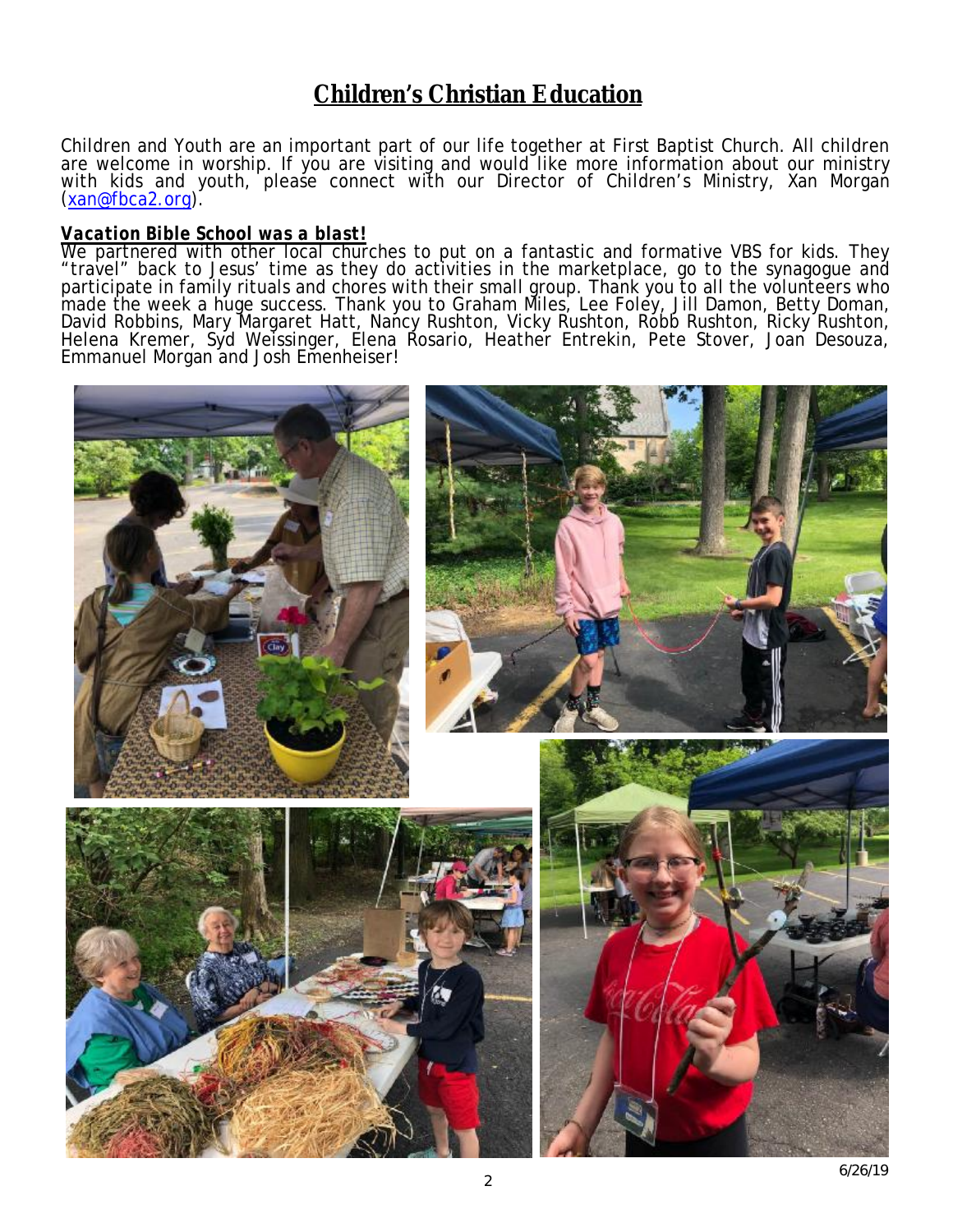# **Children's Christian Education**

Children and Youth are an important part of our life together at First Baptist Church. All children are welcome in worship. If you are visiting and would like more information about our ministry with kids and youth, please connect with our Director of Children's Ministry, Xan Morgan ([xan@fbca2.org\)](mailto:xan@fbca2.org).

#### *Vacation Bible School was a blast!*

We partnered with other local churches to put on a fantastic and formative VBS for kids. They "travel" back to Jesus' time as they do activities in the marketplace, go to the synagogue and participate in family rituals and chores with their small group. Thank you to all the volunteers who made the week a huge success. Thank you to Graham Miles, Lee Foley, Jill Damon, Betty Doman, David Robbins, Mary Margaret Hatt, Nancy Rushton, Vicky Rushton, Robb Rushton, Ricky Rushton, Helena Kremer, Syd Weissinger, Elena Rosario, Heather Entrekin, Pete Stover, Joan Desouza, Emmanuel Morgan and Josh Emenheiser!

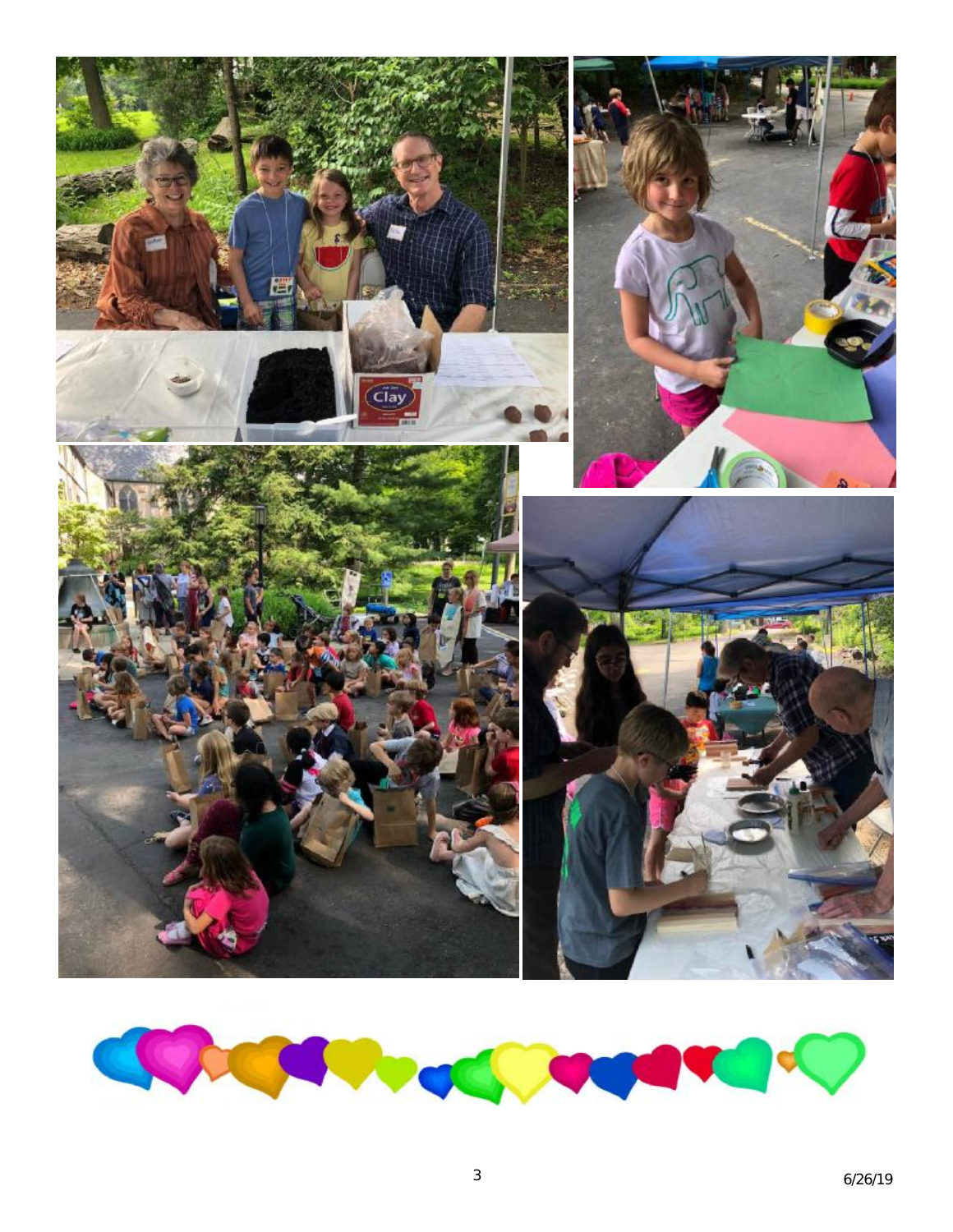

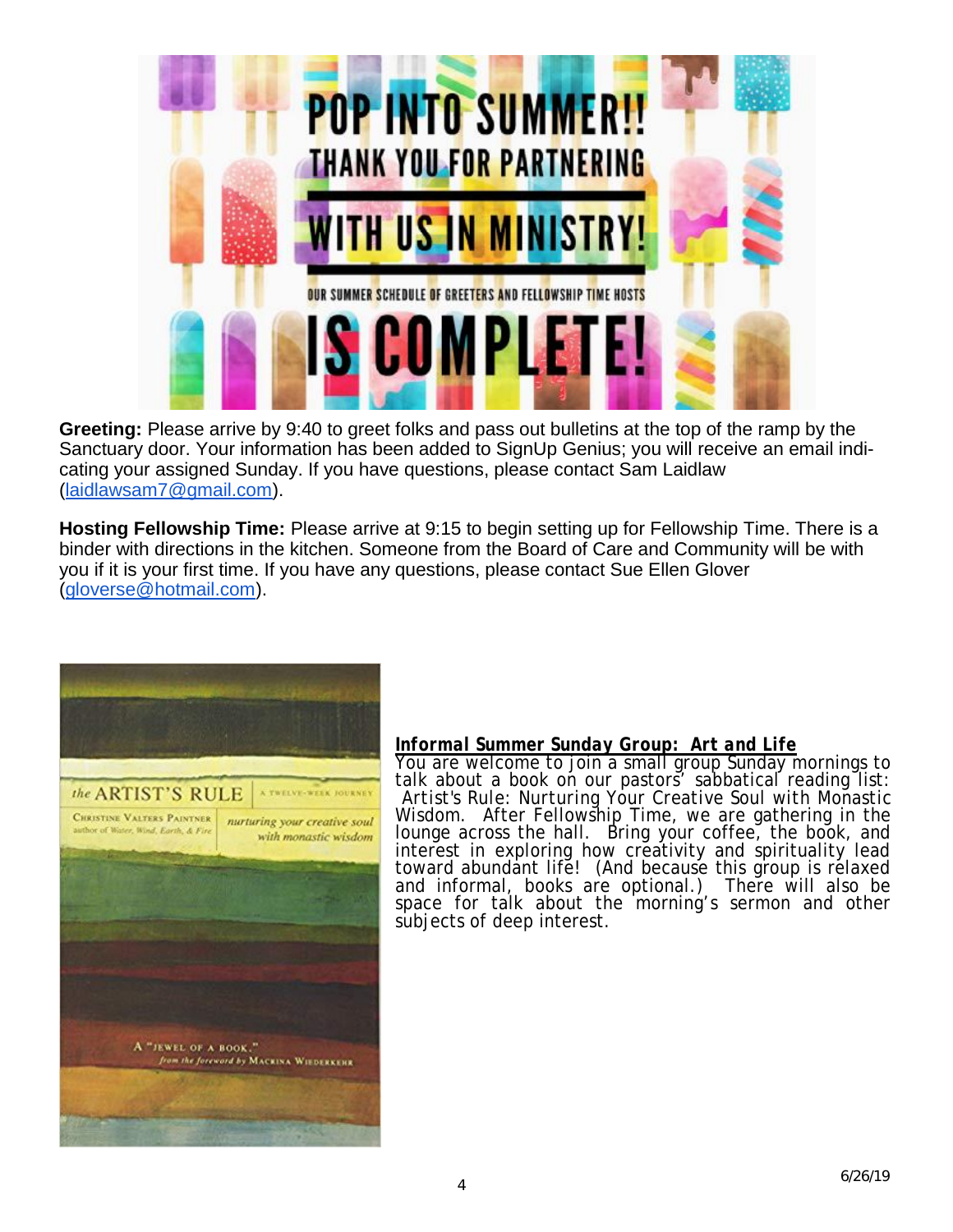

**Greeting:** Please arrive by 9:40 to greet folks and pass out bulletins at the top of the ramp by the Sanctuary door. Your information has been added to SignUp Genius; you will receive an email indicating your assigned Sunday. If you have questions, please contact Sam Laidlaw [\(laidlawsam7@gmail.com](mailto:laidlawsam7@gmail.com)).

**Hosting Fellowship Time:** Please arrive at 9:15 to begin setting up for Fellowship Time. There is a binder with directions in the kitchen. Someone from the Board of Care and Community will be with you if it is your first time. If you have any questions, please contact Sue Ellen Glover [\(gloverse@hotmail.com](mailto:gloverse@hotmail.com)).



#### *Informal Summer Sunday Group: Art and Life*

You are welcome to join a small group Sunday mornings to talk about a book on our pastors' sabbatical reading list: *Artist's Rule: Nurturing Your Creative Soul with Monastic Wisdom.* After Fellowship Time, we are gathering in the lounge across the hall. Bring your coffee, the book, and interest in exploring how creativity and spirituality lead toward abundant life! (And because this group is relaxed and informal, books are optional.) There will also be space for talk about the morning's sermon and other subjects of deep interest.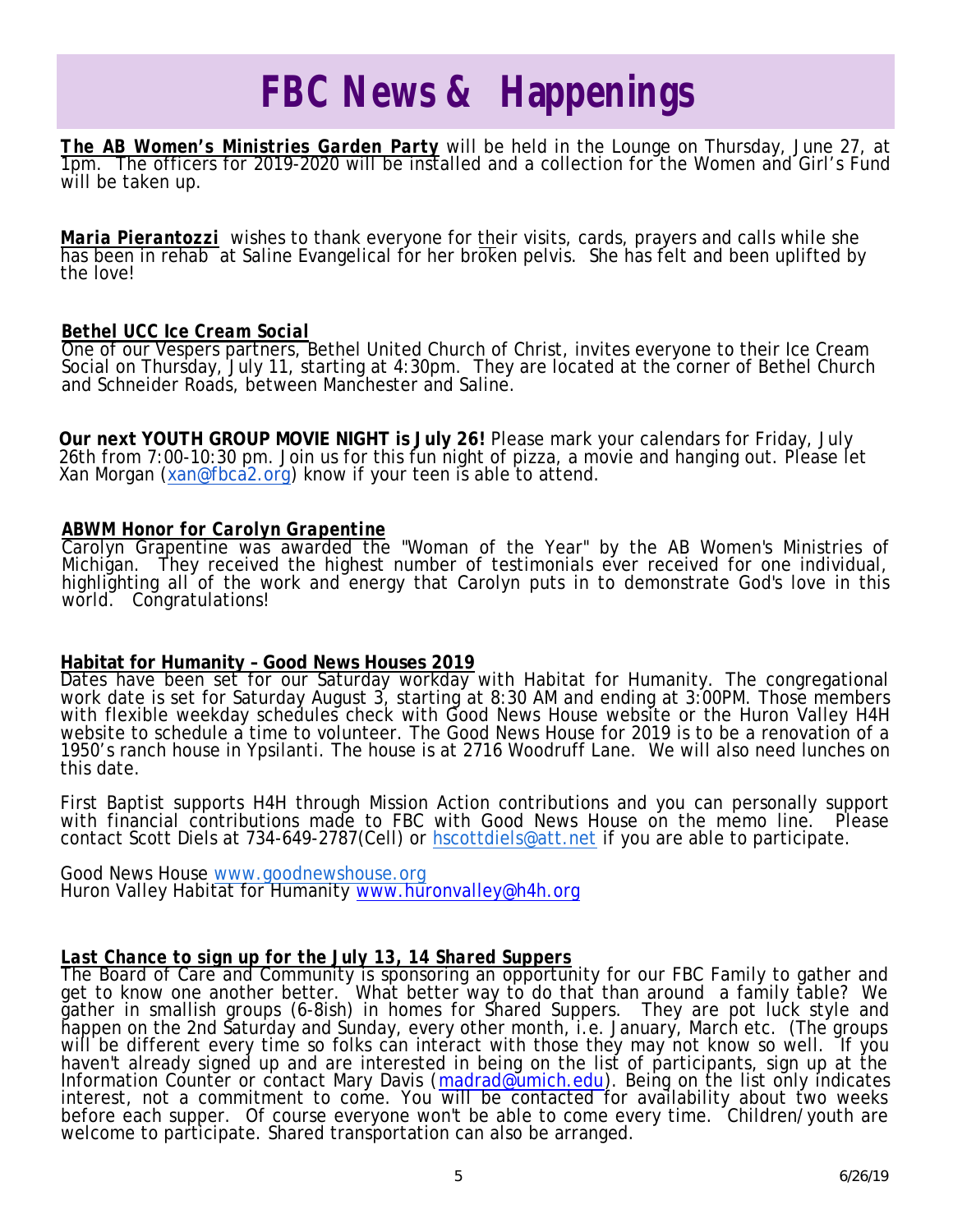# *FBC News & Happenings*

*The AB Women's Ministries Garden Party* will be held in the Lounge on Thursday, June 27, at 1pm. The officers for 2019-2020 will be installed and a collection for the Women and Girl's Fund will be taken up.

*Maria Pierantozzi* wishes to thank everyone for their visits, cards, prayers and calls while she has been in rehab at Saline Evangelical for her broken pelvis. She has felt and been uplifted by the love!

#### *Bethel UCC Ice Cream Social*

One of our Vespers partners, Bethel United Church of Christ, invites everyone to their Ice Cream Social on Thursday, July 11, starting at 4:30pm. They are located at the corner of Bethel Church and Schneider Roads, between Manchester and Saline.

**Our next YOUTH GROUP MOVIE NIGHT is July 26!** Please mark your calendars for Friday, July 26th from 7:00-10:30 pm. Join us for this fun night of pizza, a movie and hanging out. Please let Xan Morgan ([xan@fbca2.org\)](mailto:xan@fbca2.org) know if your teen is able to attend.

#### *ABWM Honor for Carolyn Grapentine*

Carolyn Grapentine was awarded the "Woman of the Year" by the AB Women's Ministries of Michigan. They received the highest number of testimonials ever received for one individual, highlighting all of the work and energy that Carolyn puts in to demonstrate God's love in this world. Congratulations!

#### **Habitat for Humanity – Good News Houses 2019**

Dates have been set for our Saturday workday with Habitat for Humanity. The congregational work date is set for Saturday August 3, starting at 8:30 AM and ending at 3:00PM. Those members with flexible weekday schedules check with Good News House website or the Huron Valley H4H website to schedule a time to volunteer. The Good News House for 2019 is to be a renovation of a 1950's ranch house in Ypsilanti. The house is at 2716 Woodruff Lane. We will also need lunches on this date.

First Baptist supports H4H through Mission Action contributions and you can personally support with financial contributions made to FBC with Good News House on the memo line. Please contact Scott Diels at 734-649-2787(Cell) or [hscottdiels@att.net](mailto:hscottdiels@att.net) if you are able to participate.

Good News House [www.goodnewshouse.org](http://www.goodnewshouse.org) Huron Valley Habitat for Humanity [www.huronvalley@h4h.org](http://www.huronvalley@h4h.org)

#### *Last Chance to sign up for the July 13, 14 Shared Suppers*

The Board of Care and Community is sponsoring an opportunity for our FBC Family to gather and get to know one another better. What better way to do that than around a family table? We gather in smallish groups (6-8ish) in homes for Shared Suppers. They are pot luck style and happen on the 2nd Saturday and Sunday, every other month, i.e. January, March etc. (The groups will be different every time so folks can interact with those they may not know so well. If you haven't already signed up and are interested in being on the list of participants, sign up at the Information Counter or contact Mary Davis ([madrad@umich.edu\)](mailto:madrad@umich.edu). Being on the list only indicates interest, not a commitment to come. You will be contacted for availability about two weeks before each supper. Of course everyone won't be able to come every time. Children/youth are welcome to participate. Shared transportation can also be arranged.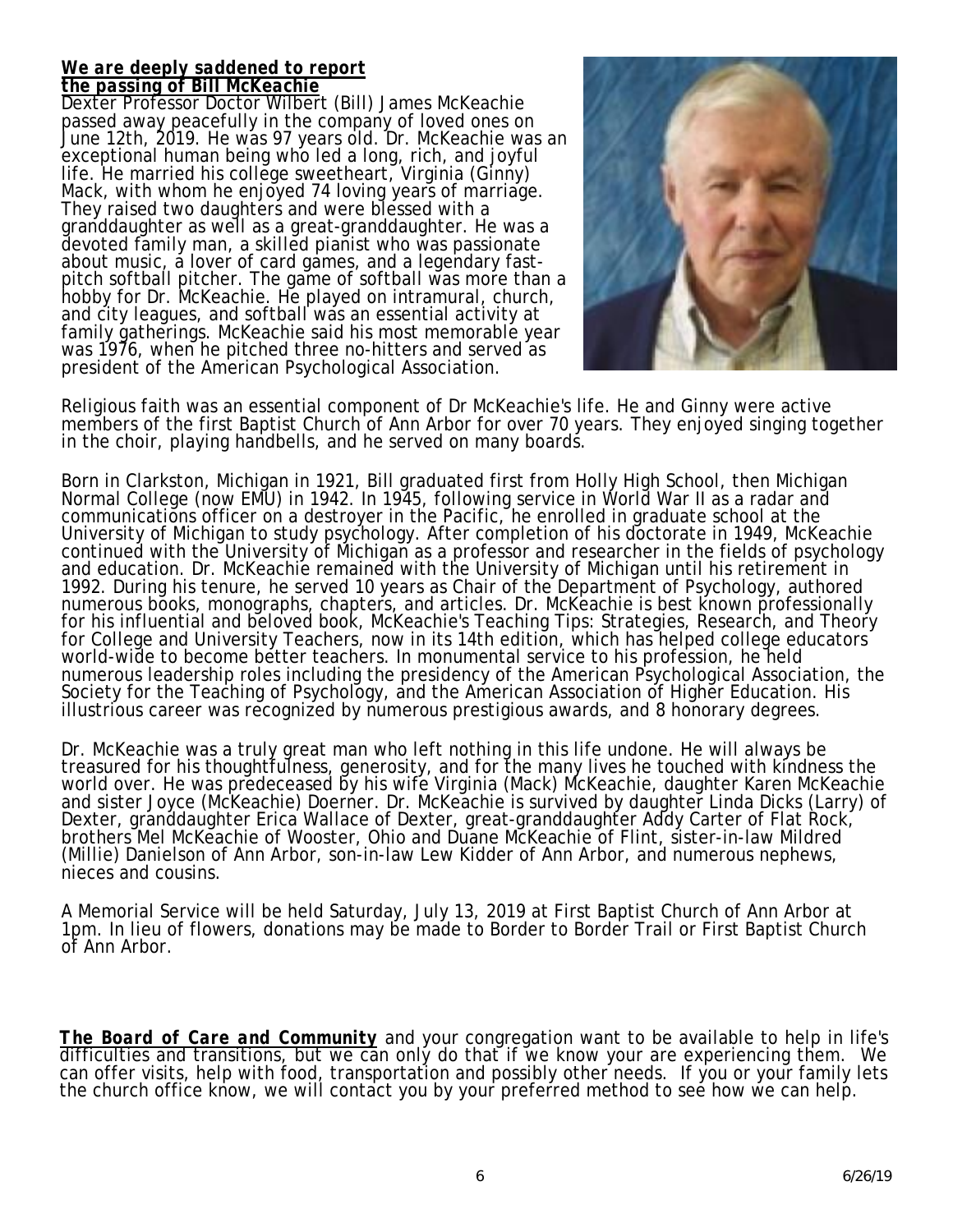#### *We are deeply saddened to report the passing of Bill McKeachie*

Dexter Professor Doctor Wilbert (Bill) James McKeachie passed away peacefully in the company of loved ones on June 12th, 2019. He was 97 years old. Dr. McKeachie was an exceptional human being who led a long, rich, and joyful life. He married his college sweetheart, Virginia (Ginny) Mack, with whom he enjoyed 74 loving years of marriage. They raised two daughters and were blessed with a granddaughter as well as a great-granddaughter. He was a devoted family man, a skilled pianist who was passionate about music, a lover of card games, and a legendary fastpitch softball pitcher. The game of softball was more than a hobby for Dr. McKeachie. He played on intramural, church, and city leagues, and softball was an essential activity at family gatherings. McKeachie said his most memorable year was 1976, when he pitched three no-hitters and served as president of the American Psychological Association.



Religious faith was an essential component of Dr McKeachie's life. He and Ginny were active members of the first Baptist Church of Ann Arbor for over 70 years. They enjoyed singing together in the choir, playing handbells, and he served on many boards.

Born in Clarkston, Michigan in 1921, Bill graduated first from Holly High School, then Michigan Normal College (now EMU) in 1942. In 1945, following service in World War II as a radar and communications officer on a destroyer in the Pacific, he enrolled in graduate school at the University of Michigan to study psychology. After completion of his doctorate in 1949, McKeachie continued with the University of Michigan as a professor and researcher in the fields of psychology and education. Dr. McKeachie remained with the University of Michigan until his retirement in 1992. During his tenure, he served 10 years as Chair of the Department of Psychology, authored numerous books, monographs, chapters, and articles. Dr. McKeachie is best Known professionally for his influential and beloved book, McKeachie's Teaching Tips: Strategies, Research, and Theory for College and University Teachers, now in its 14th edition, which has helped college educators world-wide to become better teachers. In monumental service to his profession, he held numerous leadership roles including the presidency of the American Psychological Association, the Society for the Teaching of Psychology, and the American Association of Higher Education. His illustrious career was recognized by numerous prestigious awards, and 8 honorary degrees.

Dr. McKeachie was a truly great man who left nothing in this life undone. He will always be treasured for his thoughtfulness, generosity, and for the many lives he touched with kindness the world over. He was predeceased by his wife Virginia (Mack) McKeachie, daughter Karen McKeachie and sister Joyce (McKeachie) Doerner. Dr. McKeachie is survived by daughter Linda Dicks (Larry) of Dexter, granddaughter Erica Wallace of Dexter, great-granddaughter Addy Carter of Flat Rock, brothers Mel McKeachie of Wooster, Ohio and Duane McKeachie of Flint, sister-in-law Mildred (Millie) Danielson of Ann Arbor, son-in-law Lew Kidder of Ann Arbor, and numerous nephews, nieces and cousins.

A Memorial Service will be held Saturday, July 13, 2019 at First Baptist Church of Ann Arbor at 1pm. In lieu of flowers, donations may be made to Border to Border Trail or First Baptist Church of Ann Arbor.

*The Board of Care and Community* and your congregation want to be available to help in life's difficulties and transitions, but we can only do that if we know your are experiencing them. We can offer visits, help with food, transportation and possibly other needs. If you or your family lets the church office know, we will contact you by your preferred method to see how we can help.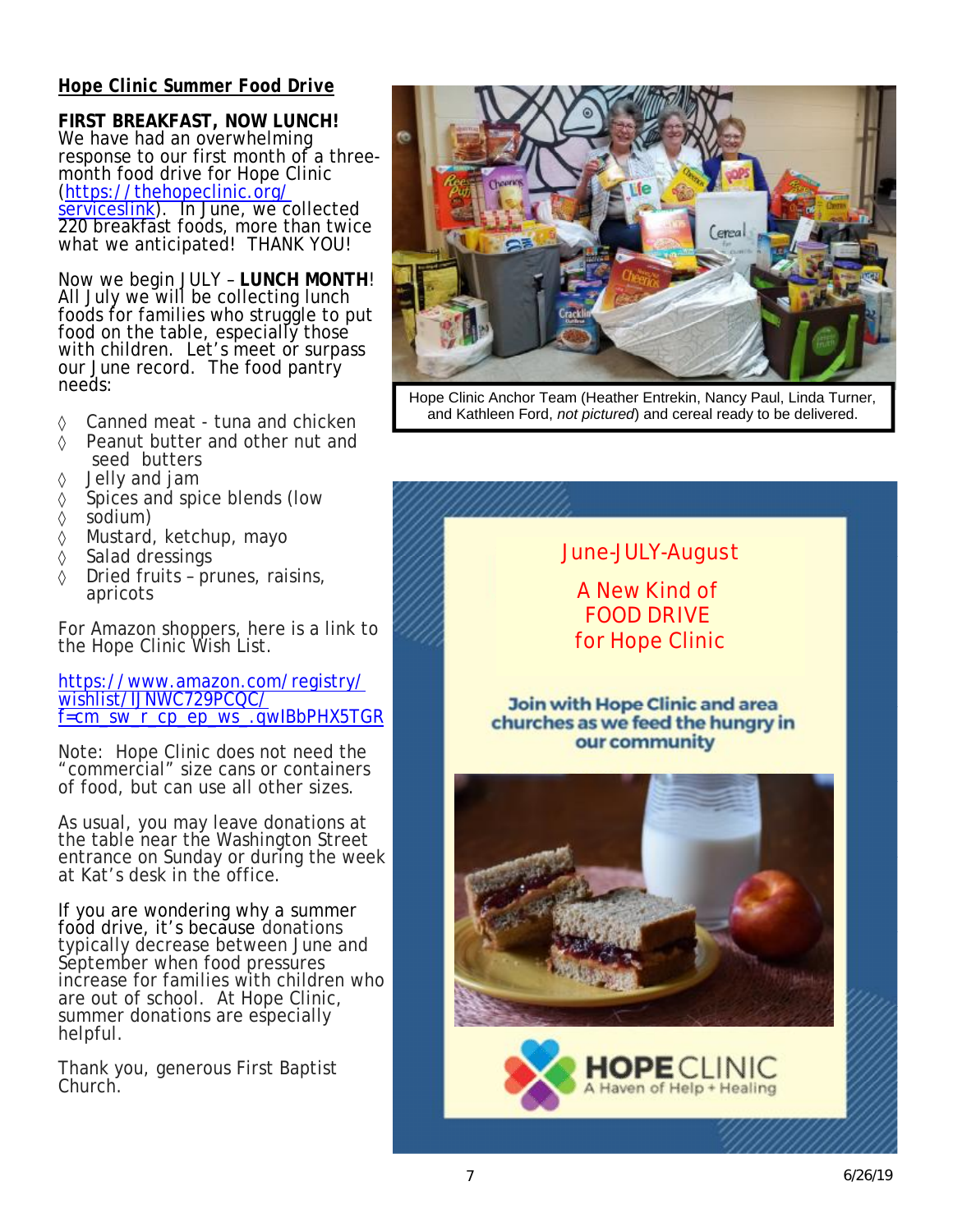#### *Hope Clinic Summer Food Drive*

**FIRST BREAKFAST, NOW LUNCH!** We have had an overwhelming response to our first month of a threemonth food drive for Hope Clinic (<https://thehopeclinic.org/> serviceslink). In June, we collected 220 breakfast foods, more than twice what we anticipated! THANK YOU!

Now we begin JULY – **LUNCH MONTH**! All July we will be collecting lunch foods for families who struggle to put food on the table, especially those with children. Let's meet or surpass our June record. The food pantry needs:

- ◊ Canned meat tuna and chicken
- ◊ Peanut butter and other nut and seed butters
- ◊ Jelly and jam
- ◊ Spices and spice blends (low
- ◊ sodium)
- ◊ Mustard, ketchup, mayo
- ◊ Salad dressings
- ◊ Dried fruits prunes, raisins, apricots

For Amazon shoppers, here is a link to the Hope Clinic Wish List.

<https://www.amazon.com/registry/> wishlist/IJNWC729PCQC/ f=cm\_sw\_r\_cp\_ep\_ws\_.qwIBbPHX5TGR

Note: Hope Clinic does not need the "commercial" size cans or containers of food, but can use all other sizes.

As usual, you may leave donations at the table near the Washington Street entrance on Sunday or during the week at Kat's desk in the office.

If you are wondering why a *summer* food drive, it's because donations typically decrease between June and September when food pressures increase for families with children who are out of school. At Hope Clinic, summer donations are especially helpful.

Thank you, generous First Baptist Church.



Hope Clinic Anchor Team (Heather Entrekin, Nancy Paul, Linda Turner, and Kathleen Ford, *not pictured*) and cereal ready to be delivered.

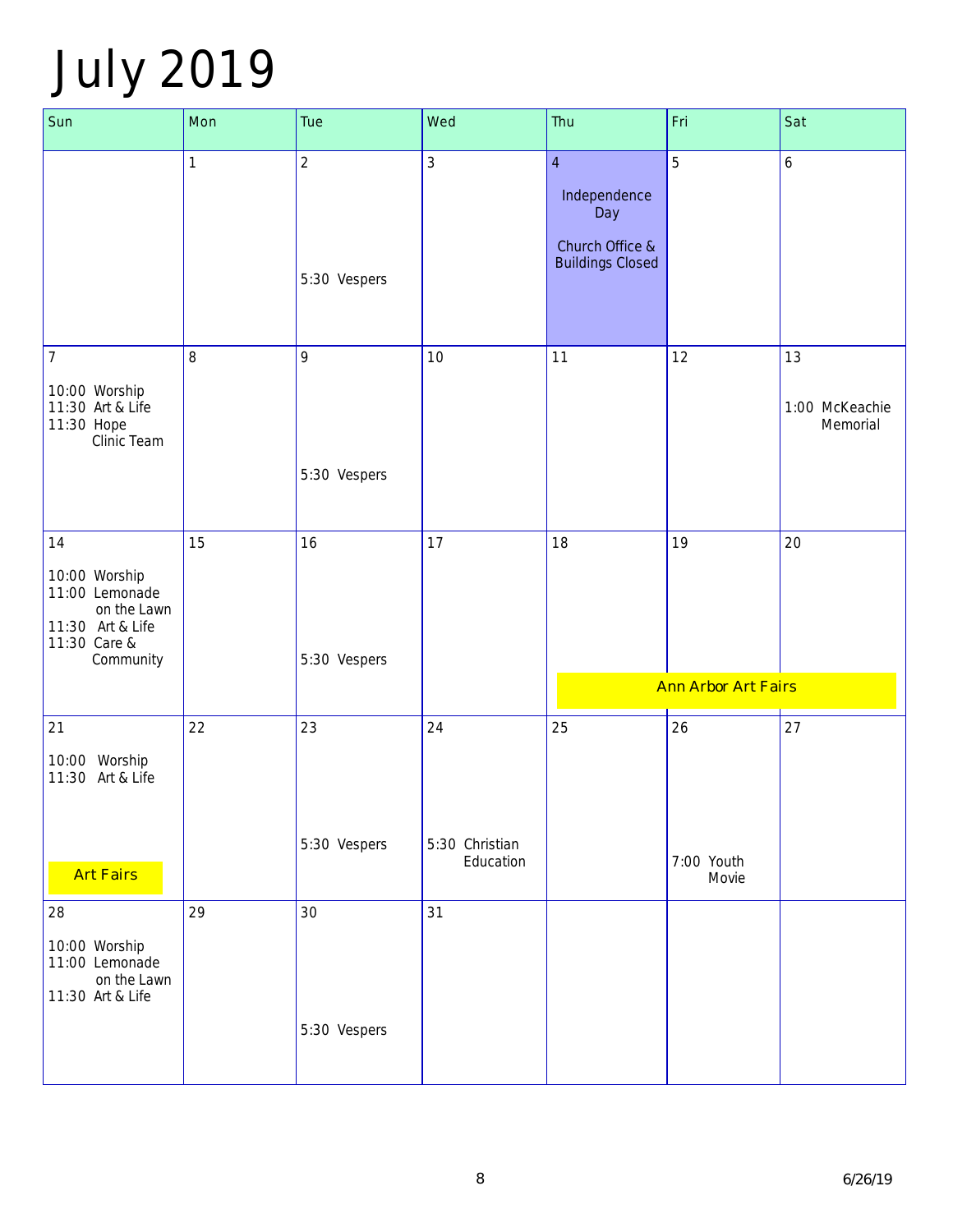# July 2019

| Sun                                                                                                   | Mon | Tue                            | Wed                               | Thu                                                                                 | Fri                              | Sat                              |
|-------------------------------------------------------------------------------------------------------|-----|--------------------------------|-----------------------------------|-------------------------------------------------------------------------------------|----------------------------------|----------------------------------|
|                                                                                                       | 1   | $\overline{2}$<br>5:30 Vespers | $\mathsf 3$                       | $\overline{4}$<br>Independence<br>Day<br>Church Office &<br><b>Buildings Closed</b> | 5                                | $\boldsymbol{6}$                 |
| $\overline{7}$<br>10:00 Worship<br>11:30 Art & Life<br>11:30 Hope<br>Clinic Team                      | 8   | 9<br>5:30 Vespers              | 10                                | 11                                                                                  | 12                               | 13<br>1:00 McKeachie<br>Memorial |
| 14<br>10:00 Worship<br>11:00 Lemonade<br>on the Lawn<br>11:30 Art & Life<br>11:30 Care &<br>Community | 15  | 16<br>5:30 Vespers             | 17                                | 18                                                                                  | 19<br><b>Ann Arbor Art Fairs</b> | 20                               |
|                                                                                                       |     |                                |                                   |                                                                                     |                                  |                                  |
| 21<br>10:00 Worship<br>11:30 Art & Life<br><b>Art Fairs</b>                                           | 22  | 23<br>5:30 Vespers             | 24<br>5:30 Christian<br>Education | 25                                                                                  | 26<br>7:00 Youth<br>Movie        | 27                               |
| 28<br>10:00 Worship<br>11:00 Lemonade<br>on the Lawn<br>11:30 Art & Life                              | 29  | 30<br>5:30 Vespers             | 31                                |                                                                                     |                                  |                                  |